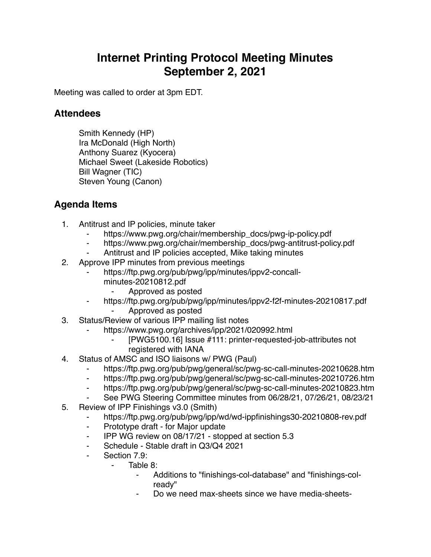## **Internet Printing Protocol Meeting Minutes September 2, 2021**

Meeting was called to order at 3pm EDT.

## **Attendees**

Smith Kennedy (HP) Ira McDonald (High North) Anthony Suarez (Kyocera) Michael Sweet (Lakeside Robotics) Bill Wagner (TIC) Steven Young (Canon)

## **Agenda Items**

- 1. Antitrust and IP policies, minute taker
	- https://www.pwg.org/chair/membership\_docs/pwg-ip-policy.pdf
	- https://www.pwg.org/chair/membership\_docs/pwg-antitrust-policy.pdf
	- Antitrust and IP policies accepted, Mike taking minutes
- 2. Approve IPP minutes from previous meetings
	- https://ftp.pwg.org/pub/pwg/ipp/minutes/ippv2-concallminutes-20210812.pdf
		- ⁃ Approved as posted
		- https://ftp.pwg.org/pub/pwg/ipp/minutes/ippv2-f2f-minutes-20210817.pdf ⁃ Approved as posted
- 3. Status/Review of various IPP mailing list notes
	- https://www.pwg.org/archives/ipp/2021/020992.html
		- [PWG5100.16] Issue #111: printer-requested-job-attributes not registered with IANA
- 4. Status of AMSC and ISO liaisons w/ PWG (Paul)
	- https://ftp.pwg.org/pub/pwg/general/sc/pwg-sc-call-minutes-20210628.htm
	- ⁃ https://ftp.pwg.org/pub/pwg/general/sc/pwg-sc-call-minutes-20210726.htm
	- ⁃ https://ftp.pwg.org/pub/pwg/general/sc/pwg-sc-call-minutes-20210823.htm
	- ⁃ See PWG Steering Committee minutes from 06/28/21, 07/26/21, 08/23/21
- 5. Review of IPP Finishings v3.0 (Smith)
	- https://ftp.pwg.org/pub/pwg/ipp/wd/wd-ippfinishings30-20210808-rev.pdf
	- ⁃ Prototype draft for Major update
	- ⁃ IPP WG review on 08/17/21 stopped at section 5.3
	- Schedule Stable draft in Q3/Q4 2021
	- Section 7.9:
		- ⁃ Table 8:
			- Additions to "finishings-col-database" and "finishings-colready"
			- Do we need max-sheets since we have media-sheets-